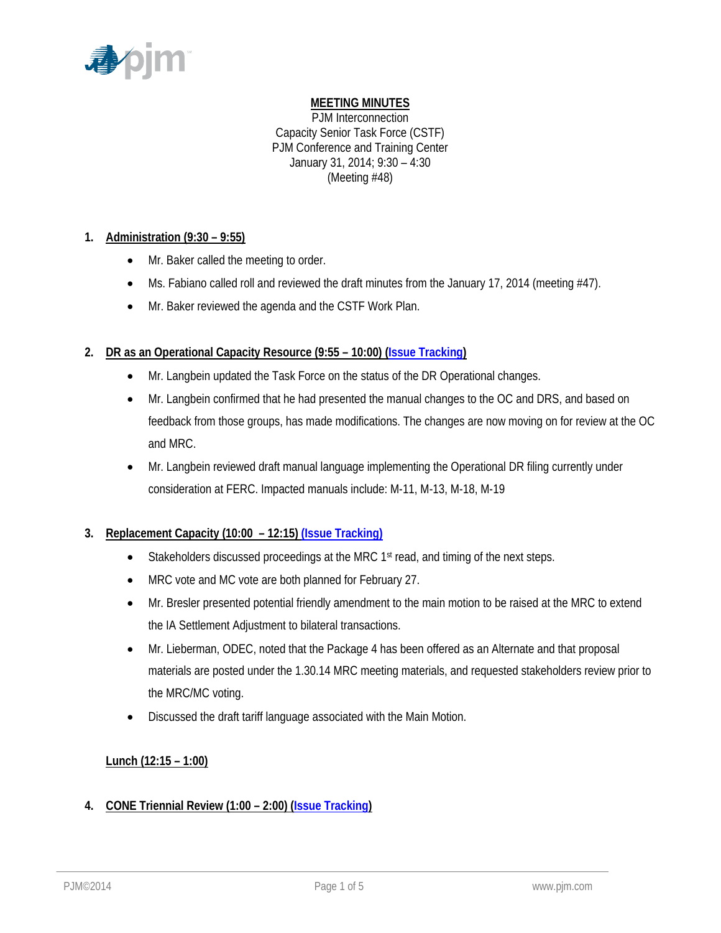

# **MEETING MINUTES**

PJM Interconnection Capacity Senior Task Force (CSTF) PJM Conference and Training Center January 31, 2014; 9:30 – 4:30 (Meeting #48)

## **1. Administration (9:30 – 9:55)**

- Mr. Baker called the meeting to order.
- Ms. Fabiano called roll and reviewed the draft minutes from the January 17, 2014 (meeting #47).
- Mr. Baker reviewed the agenda and the CSTF Work Plan.

## **2. DR as an Operational Capacity Resource (9:55 – 10:00) (Issue Tracking)**

- Mr. Langbein updated the Task Force on the status of the DR Operational changes.
- Mr. Langbein confirmed that he had presented the manual changes to the OC and DRS, and based on feedback from those groups, has made modifications. The changes are now moving on for review at the OC and MRC.
- Mr. Langbein reviewed draft manual language implementing the Operational DR filing currently under consideration at FERC. Impacted manuals include: M-11, M-13, M-18, M-19

## **3. Replacement Capacity (10:00 – 12:15) (Issue Tracking)**

- Stakeholders discussed proceedings at the MRC 1<sup>st</sup> read, and timing of the next steps.
- MRC vote and MC vote are both planned for February 27.
- Mr. Bresler presented potential friendly amendment to the main motion to be raised at the MRC to extend the IA Settlement Adjustment to bilateral transactions.
- Mr. Lieberman, ODEC, noted that the Package 4 has been offered as an Alternate and that proposal materials are posted under the 1.30.14 MRC meeting materials, and requested stakeholders review prior to the MRC/MC voting.
- Discussed the draft tariff language associated with the Main Motion.

## **Lunch (12:15 – 1:00)**

## **4. CONE Triennial Review (1:00 – 2:00) (Issue Tracking)**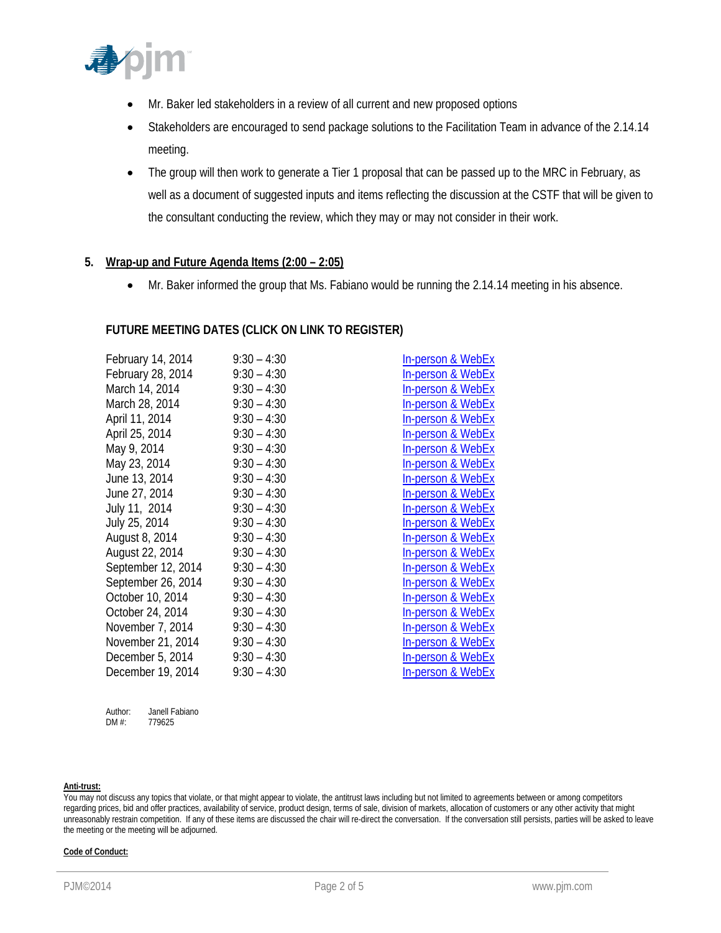

- Mr. Baker led stakeholders in a review of all current and new proposed options
- Stakeholders are encouraged to send package solutions to the Facilitation Team in advance of the 2.14.14 meeting.
- The group will then work to generate a Tier 1 proposal that can be passed up to the MRC in February, as well as a document of suggested inputs and items reflecting the discussion at the CSTF that will be given to the consultant conducting the review, which they may or may not consider in their work.

## **5. Wrap-up and Future Agenda Items (2:00 – 2:05)**

Mr. Baker informed the group that Ms. Fabiano would be running the 2.14.14 meeting in his absence.

In-person & WebEx In-person & WebEx In-person & WebEx In-person & WebEx In-person & WebEx In-person & WebEx In-person & WebEx In-person & WebEx In-person & WebEx In-person & WebEx In-person & WebEx In-person & WebEx **In-person & WebEx In-person & WebEx** In-person & WebEx In-person & WebEx In-person & WebEx **In-person & WebEx** In-person & WebEx In-person & WebEx In-person & WebEx In-person & WebEx

## **FUTURE MEETING DATES (CLICK ON LINK TO REGISTER)**

| February 14, 2014  | $9:30 - 4:30$ |
|--------------------|---------------|
| February 28, 2014  | $9:30 - 4:30$ |
| March 14, 2014     | $9:30 - 4:30$ |
| March 28, 2014     | $9:30 - 4:30$ |
| April 11, 2014     | $9:30 - 4:30$ |
| April 25, 2014     | $9:30 - 4:30$ |
| May 9, 2014        | $9:30 - 4:30$ |
| May 23, 2014       | $9:30 - 4:30$ |
| June 13, 2014      | $9:30 - 4:30$ |
| June 27, 2014      | $9:30 - 4:30$ |
| July 11, 2014      | $9:30 - 4:30$ |
| July 25, 2014      | $9:30 - 4:30$ |
| August 8, 2014     | $9:30 - 4:30$ |
| August 22, 2014    | $9:30 - 4:30$ |
| September 12, 2014 | $9:30 - 4:30$ |
| September 26, 2014 | $9:30 - 4:30$ |
| October 10, 2014   | $9:30 - 4:30$ |
| October 24, 2014   | $9:30 - 4:30$ |
| November 7, 2014   | $9:30 - 4:30$ |
| November 21, 2014  | $9:30 - 4:30$ |
| December 5, 2014   | $9:30 - 4:30$ |
| December 19, 2014  | $9:30 - 4:30$ |

Author: Janell Fabiano<br>DM #: 779625 779625

**Anti-trust:** 

#### **Code of Conduct:**

You may not discuss any topics that violate, or that might appear to violate, the antitrust laws including but not limited to agreements between or among competitors regarding prices, bid and offer practices, availability of service, product design, terms of sale, division of markets, allocation of customers or any other activity that might unreasonably restrain competition. If any of these items are discussed the chair will re-direct the conversation. If the conversation still persists, parties will be asked to leave the meeting or the meeting will be adjourned.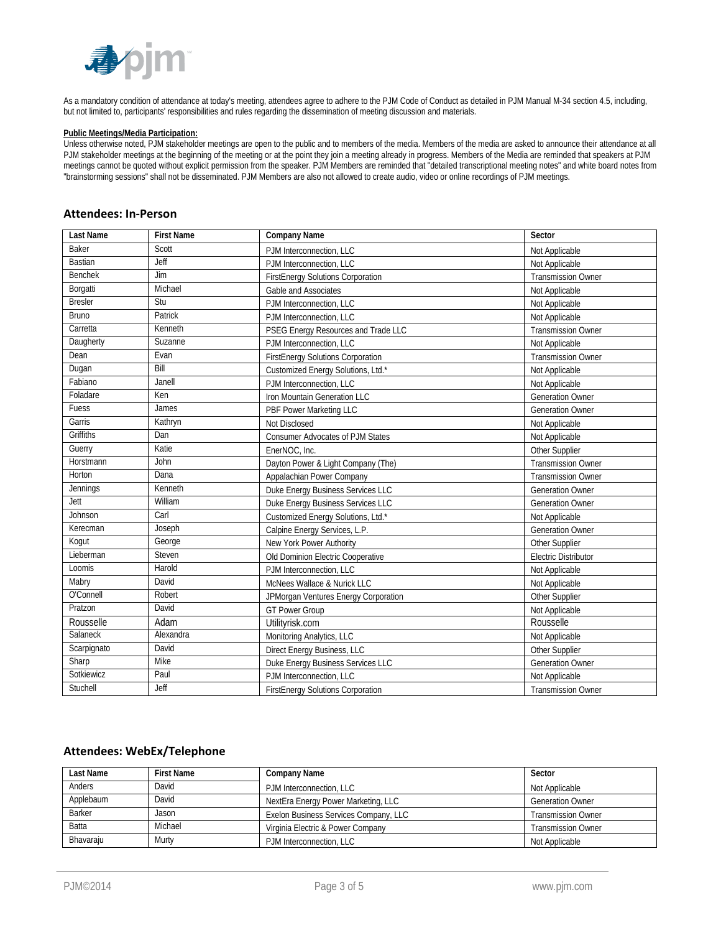

As a mandatory condition of attendance at today's meeting, attendees agree to adhere to the PJM Code of Conduct as detailed in PJM Manual M-34 section 4.5, including, but not limited to, participants' responsibilities and rules regarding the dissemination of meeting discussion and materials.

#### **Public Meetings/Media Participation:**

Unless otherwise noted, PJM stakeholder meetings are open to the public and to members of the media. Members of the media are asked to announce their attendance at all PJM stakeholder meetings at the beginning of the meeting or at the point they join a meeting already in progress. Members of the Media are reminded that speakers at PJM meetings cannot be quoted without explicit permission from the speaker. PJM Members are reminded that "detailed transcriptional meeting notes" and white board notes from "brainstorming sessions" shall not be disseminated. PJM Members are also not allowed to create audio, video or online recordings of PJM meetings.

#### **Attendees: In‐Person**

| <b>Last Name</b> | <b>First Name</b> | <b>Company Name</b>                      | Sector                      |
|------------------|-------------------|------------------------------------------|-----------------------------|
| <b>Baker</b>     | Scott             | PJM Interconnection, LLC                 | Not Applicable              |
| <b>Bastian</b>   | Jeff              | PJM Interconnection, LLC                 | Not Applicable              |
| <b>Benchek</b>   | Jim               | <b>FirstEnergy Solutions Corporation</b> | <b>Transmission Owner</b>   |
| Borgatti         | Michael           | Gable and Associates                     | Not Applicable              |
| <b>Bresler</b>   | Stu               | PJM Interconnection, LLC                 | Not Applicable              |
| Bruno            | Patrick           | PJM Interconnection, LLC                 | Not Applicable              |
| Carretta         | Kenneth           | PSEG Energy Resources and Trade LLC      | <b>Transmission Owner</b>   |
| Daugherty        | Suzanne           | PJM Interconnection, LLC                 | Not Applicable              |
| Dean             | Evan              | <b>FirstEnergy Solutions Corporation</b> | <b>Transmission Owner</b>   |
| Dugan            | Bill              | Customized Energy Solutions, Ltd.*       | Not Applicable              |
| Fabiano          | Janell            | PJM Interconnection, LLC                 | Not Applicable              |
| Foladare         | Ken               | Iron Mountain Generation LLC             | <b>Generation Owner</b>     |
| Fuess            | James             | PBF Power Marketing LLC                  | <b>Generation Owner</b>     |
| Garris           | Kathryn           | Not Disclosed                            | Not Applicable              |
| <b>Griffiths</b> | Dan               | <b>Consumer Advocates of PJM States</b>  | Not Applicable              |
| Guerry           | Katie             | EnerNOC, Inc.                            | Other Supplier              |
| Horstmann        | John              | Dayton Power & Light Company (The)       | <b>Transmission Owner</b>   |
| Horton           | Dana              | Appalachian Power Company                | <b>Transmission Owner</b>   |
| Jennings         | Kenneth           | Duke Energy Business Services LLC        | <b>Generation Owner</b>     |
| Jett             | William           | Duke Energy Business Services LLC        | <b>Generation Owner</b>     |
| Johnson          | Carl              | Customized Energy Solutions, Ltd.*       | Not Applicable              |
| Kerecman         | Joseph            | Calpine Energy Services, L.P.            | <b>Generation Owner</b>     |
| Kogut            | George            | New York Power Authority                 | Other Supplier              |
| Lieberman        | Steven            | Old Dominion Electric Cooperative        | <b>Electric Distributor</b> |
| Loomis           | Harold            | PJM Interconnection, LLC                 | Not Applicable              |
| Mabry            | David             | McNees Wallace & Nurick LLC              | Not Applicable              |
| O'Connell        | Robert            | JPMorgan Ventures Energy Corporation     | Other Supplier              |
| Pratzon          | David             | <b>GT Power Group</b>                    | Not Applicable              |
| Rousselle        | Adam              | Utilityrisk.com                          | Rousselle                   |
| Salaneck         | Alexandra         | Monitoring Analytics, LLC                | Not Applicable              |
| Scarpignato      | David             | Direct Energy Business, LLC              | Other Supplier              |
| Sharp            | Mike              | Duke Energy Business Services LLC        | <b>Generation Owner</b>     |
| Sotkiewicz       | Paul              | PJM Interconnection, LLC                 | Not Applicable              |
| Stuchell         | Jeff              | <b>FirstEnergy Solutions Corporation</b> | <b>Transmission Owner</b>   |

#### **Attendees: WebEx/Telephone**

| Last Name | <b>First Name</b> | Company Name                          | Sector                    |
|-----------|-------------------|---------------------------------------|---------------------------|
| Anders    | David             | PJM Interconnection, LLC              | Not Applicable            |
| Applebaum | David             | NextEra Energy Power Marketing, LLC   | <b>Generation Owner</b>   |
| Barker    | Jason             | Exelon Business Services Company, LLC | <b>Transmission Owner</b> |
| Batta     | Michael           | Virginia Electric & Power Company     | <b>Transmission Owner</b> |
| Bhavaraju | Murty             | PJM Interconnection, LLC              | Not Applicable            |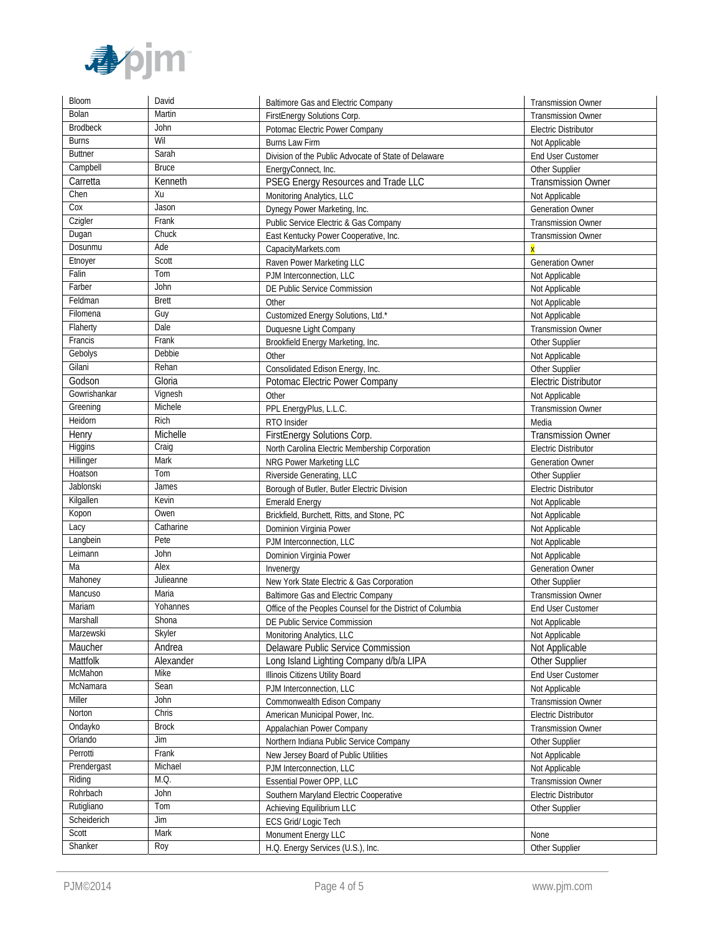

| Bloom                     | David           | <b>Baltimore Gas and Electric Company</b>                  | <b>Transmission Owner</b>   |
|---------------------------|-----------------|------------------------------------------------------------|-----------------------------|
| Bolan                     | Martin          | FirstEnergy Solutions Corp.                                | <b>Transmission Owner</b>   |
| <b>Brodbeck</b>           | John            | Potomac Electric Power Company                             | <b>Electric Distributor</b> |
| <b>Burns</b>              | Wil             | <b>Burns Law Firm</b>                                      | Not Applicable              |
| <b>Buttner</b>            | Sarah           | Division of the Public Advocate of State of Delaware       | End User Customer           |
| Campbell                  | <b>Bruce</b>    | EnergyConnect, Inc.                                        | Other Supplier              |
| Carretta                  | Kenneth         | PSEG Energy Resources and Trade LLC                        | <b>Transmission Owner</b>   |
| Chen                      | Xu              | Monitoring Analytics, LLC                                  | Not Applicable              |
| $\overline{C}$ ox         | Jason           | Dynegy Power Marketing, Inc.                               | <b>Generation Owner</b>     |
| Czigler                   | Frank           | Public Service Electric & Gas Company                      | <b>Transmission Owner</b>   |
| Dugan                     | Chuck           | East Kentucky Power Cooperative, Inc.                      | <b>Transmission Owner</b>   |
| Dosunmu                   | Ade             | CapacityMarkets.com                                        |                             |
| Etnoyer                   | Scott           | Raven Power Marketing LLC                                  | <b>Generation Owner</b>     |
| Falin                     | Tom             | PJM Interconnection, LLC                                   | Not Applicable              |
| Farber                    | John            | DE Public Service Commission                               | Not Applicable              |
| Feldman                   | <b>Brett</b>    | Other                                                      | Not Applicable              |
| Filomena                  | Guy             | Customized Energy Solutions, Ltd.*                         | Not Applicable              |
| Flaherty                  | Dale            | Duquesne Light Company                                     | Transmission Owner          |
| Francis                   | Frank           | Brookfield Energy Marketing, Inc.                          | Other Supplier              |
| Gebolys                   | Debbie          | Other                                                      | Not Applicable              |
| Gilani                    | Rehan           | Consolidated Edison Energy, Inc.                           | Other Supplier              |
| Godson                    | Gloria          | Potomac Electric Power Company                             | <b>Electric Distributor</b> |
| Gowrishankar              | Vignesh         | Other                                                      | Not Applicable              |
| Greening                  | Michele         | PPL EnergyPlus, L.L.C.                                     | <b>Transmission Owner</b>   |
| Heidorn                   | Rich            | RTO Insider                                                | Media                       |
| Henry                     | Michelle        | FirstEnergy Solutions Corp.                                | <b>Transmission Owner</b>   |
| <b>Higgins</b>            | Craig           | North Carolina Electric Membership Corporation             | <b>Electric Distributor</b> |
| Hillinger                 | Mark            | NRG Power Marketing LLC                                    | <b>Generation Owner</b>     |
| Hoatson                   | Tom             | Riverside Generating, LLC                                  | Other Supplier              |
| Jablonski                 | James           | Borough of Butler, Butler Electric Division                | <b>Electric Distributor</b> |
| Kilgallen                 | Kevin           | <b>Emerald Energy</b>                                      | Not Applicable              |
| Kopon                     | Owen            | Brickfield, Burchett, Ritts, and Stone, PC                 | Not Applicable              |
| Lacy                      | Catharine       | Dominion Virginia Power                                    | Not Applicable              |
| Langbein                  | Pete            | PJM Interconnection, LLC                                   | Not Applicable              |
| Leimann                   | John            | Dominion Virginia Power                                    | Not Applicable              |
| Ma                        | Alex            | Invenergy                                                  | <b>Generation Owner</b>     |
| Mahoney                   | Julieanne       | New York State Electric & Gas Corporation                  | Other Supplier              |
| Mancuso                   | Maria           | <b>Baltimore Gas and Electric Company</b>                  | <b>Transmission Owner</b>   |
| Mariam                    | Yohannes        | Office of the Peoples Counsel for the District of Columbia | <b>End User Customer</b>    |
| Marshall                  | Shona           | DE Public Service Commission                               | Not Applicable              |
| Marzewski                 | Skyler          | Monitoring Analytics, LLC                                  | Not Applicable              |
| Maucher                   | Andrea          | Delaware Public Service Commission                         | Not Applicable              |
| Mattfolk                  | Alexander       | Long Island Lighting Company d/b/a LIPA                    | Other Supplier              |
| McMahon                   | Mike            | Illinois Citizens Utility Board                            | End User Customer           |
| McNamara                  | Sean            | PJM Interconnection, LLC                                   | Not Applicable              |
| Miller                    | John            | Commonwealth Edison Company                                | <b>Transmission Owner</b>   |
| Norton                    | Chris           | American Municipal Power, Inc.                             | <b>Electric Distributor</b> |
| Ondayko                   | <b>Brock</b>    | Appalachian Power Company                                  | Transmission Owner          |
| Orlando<br>Perrotti       | Jim<br>Frank    | Northern Indiana Public Service Company                    | Other Supplier              |
|                           |                 | New Jersey Board of Public Utilities                       | Not Applicable              |
| Prendergast               | Michael<br>M.Q. | PJM Interconnection, LLC                                   | Not Applicable              |
| Riding                    |                 | Essential Power OPP, LLC                                   | <b>Transmission Owner</b>   |
| Rohrbach                  | John            | Southern Maryland Electric Cooperative                     | <b>Electric Distributor</b> |
| Rutigliano<br>Scheiderich | Tom<br>Jim      | Achieving Equilibrium LLC                                  | Other Supplier              |
| Scott                     | Mark            | ECS Grid/ Logic Tech                                       |                             |
| Shanker                   |                 | Monument Energy LLC                                        | None                        |
|                           | Roy             | H.Q. Energy Services (U.S.), Inc.                          | Other Supplier              |